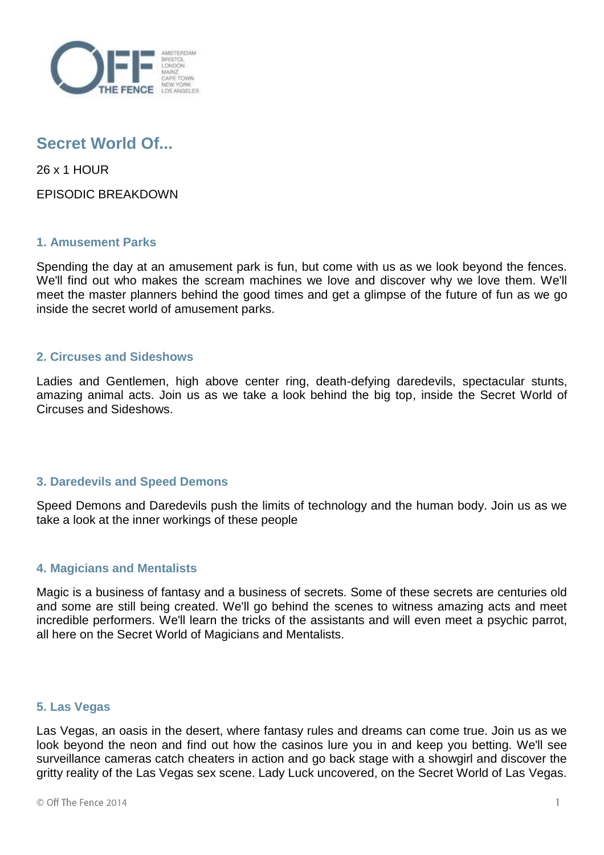

# **Secret World Of...**

26 x 1 HOUR

EPISODIC BREAKDOWN

## **1. Amusement Parks**

Spending the day at an amusement park is fun, but come with us as we look beyond the fences. We'll find out who makes the scream machines we love and discover why we love them. We'll meet the master planners behind the good times and get a glimpse of the future of fun as we go inside the secret world of amusement parks.

## **2. Circuses and Sideshows**

Ladies and Gentlemen, high above center ring, death-defying daredevils, spectacular stunts, amazing animal acts. Join us as we take a look behind the big top, inside the Secret World of Circuses and Sideshows.

# **3. Daredevils and Speed Demons**

Speed Demons and Daredevils push the limits of technology and the human body. Join us as we take a look at the inner workings of these people

# **4. Magicians and Mentalists**

Magic is a business of fantasy and a business of secrets. Some of these secrets are centuries old and some are still being created. We'll go behind the scenes to witness amazing acts and meet incredible performers. We'll learn the tricks of the assistants and will even meet a psychic parrot, all here on the Secret World of Magicians and Mentalists.

# **5. Las Vegas**

Las Vegas, an oasis in the desert, where fantasy rules and dreams can come true. Join us as we look beyond the neon and find out how the casinos lure you in and keep you betting. We'll see surveillance cameras catch cheaters in action and go back stage with a showgirl and discover the gritty reality of the Las Vegas sex scene. Lady Luck uncovered, on the Secret World of Las Vegas.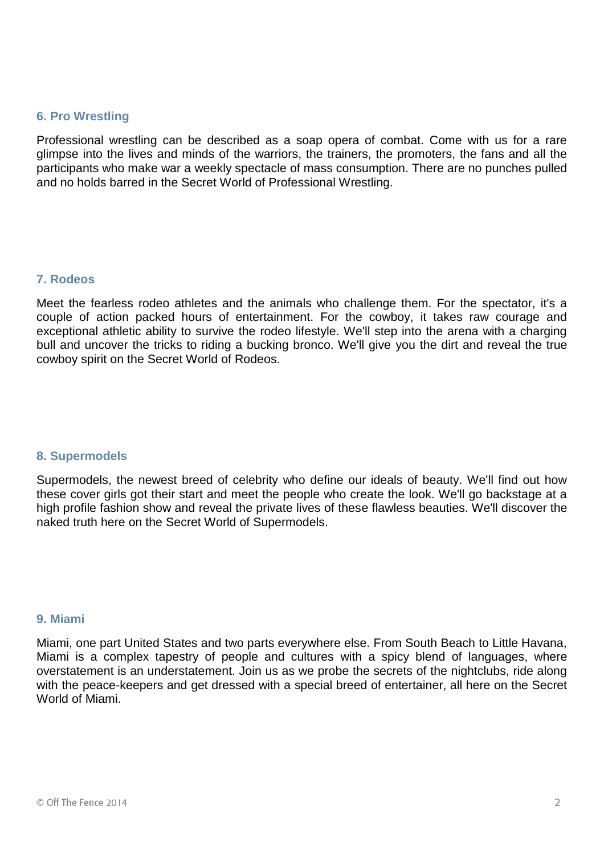#### **6. Pro Wrestling**

Professional wrestling can be described as a soap opera of combat. Come with us for a rare glimpse into the lives and minds of the warriors, the trainers, the promoters, the fans and all the participants who make war a weekly spectacle of mass consumption. There are no punches pulled and no holds barred in the Secret World of Professional Wrestling.

## **7. Rodeos**

Meet the fearless rodeo athletes and the animals who challenge them. For the spectator, it's a couple of action packed hours of entertainment. For the cowboy, it takes raw courage and exceptional athletic ability to survive the rodeo lifestyle. We'll step into the arena with a charging bull and uncover the tricks to riding a bucking bronco. We'll give you the dirt and reveal the true cowboy spirit on the Secret World of Rodeos.

## **8. Supermodels**

Supermodels, the newest breed of celebrity who define our ideals of beauty. We'll find out how these cover girls got their start and meet the people who create the look. We'll go backstage at a high profile fashion show and reveal the private lives of these flawless beauties. We'll discover the naked truth here on the Secret World of Supermodels.

#### **9. Miami**

Miami, one part United States and two parts everywhere else. From South Beach to Little Havana, Miami is a complex tapestry of people and cultures with a spicy blend of languages, where overstatement is an understatement. Join us as we probe the secrets of the nightclubs, ride along with the peace-keepers and get dressed with a special breed of entertainer, all here on the Secret World of Miami.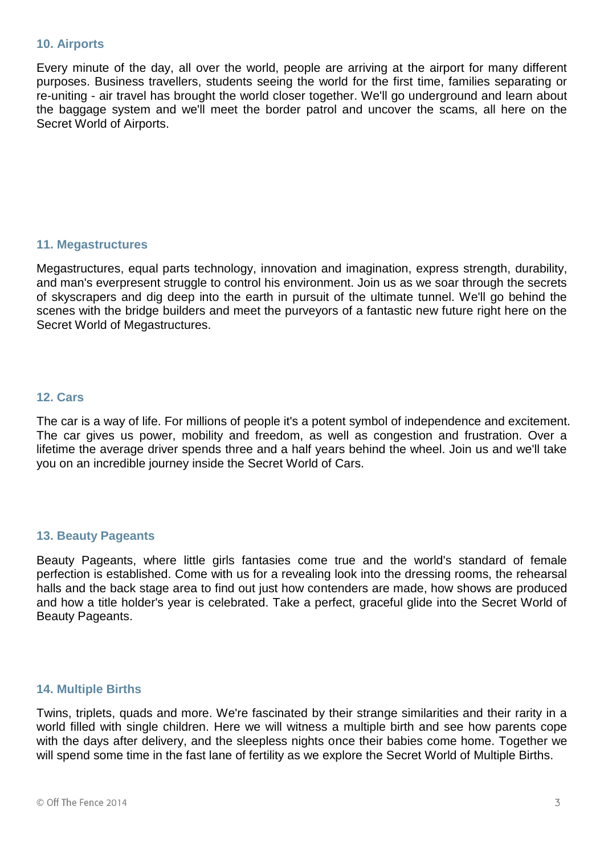#### **10. Airports**

Every minute of the day, all over the world, people are arriving at the airport for many different purposes. Business travellers, students seeing the world for the first time, families separating or re-uniting - air travel has brought the world closer together. We'll go underground and learn about the baggage system and we'll meet the border patrol and uncover the scams, all here on the Secret World of Airports.

## **11. Megastructures**

Megastructures, equal parts technology, innovation and imagination, express strength, durability, and man's everpresent struggle to control his environment. Join us as we soar through the secrets of skyscrapers and dig deep into the earth in pursuit of the ultimate tunnel. We'll go behind the scenes with the bridge builders and meet the purveyors of a fantastic new future right here on the Secret World of Megastructures.

## **12. Cars**

The car is a way of life. For millions of people it's a potent symbol of independence and excitement. The car gives us power, mobility and freedom, as well as congestion and frustration. Over a lifetime the average driver spends three and a half years behind the wheel. Join us and we'll take you on an incredible journey inside the Secret World of Cars.

## **13. Beauty Pageants**

Beauty Pageants, where little girls fantasies come true and the world's standard of female perfection is established. Come with us for a revealing look into the dressing rooms, the rehearsal halls and the back stage area to find out just how contenders are made, how shows are produced and how a title holder's year is celebrated. Take a perfect, graceful glide into the Secret World of Beauty Pageants.

## **14. Multiple Births**

Twins, triplets, quads and more. We're fascinated by their strange similarities and their rarity in a world filled with single children. Here we will witness a multiple birth and see how parents cope with the days after delivery, and the sleepless nights once their babies come home. Together we will spend some time in the fast lane of fertility as we explore the Secret World of Multiple Births.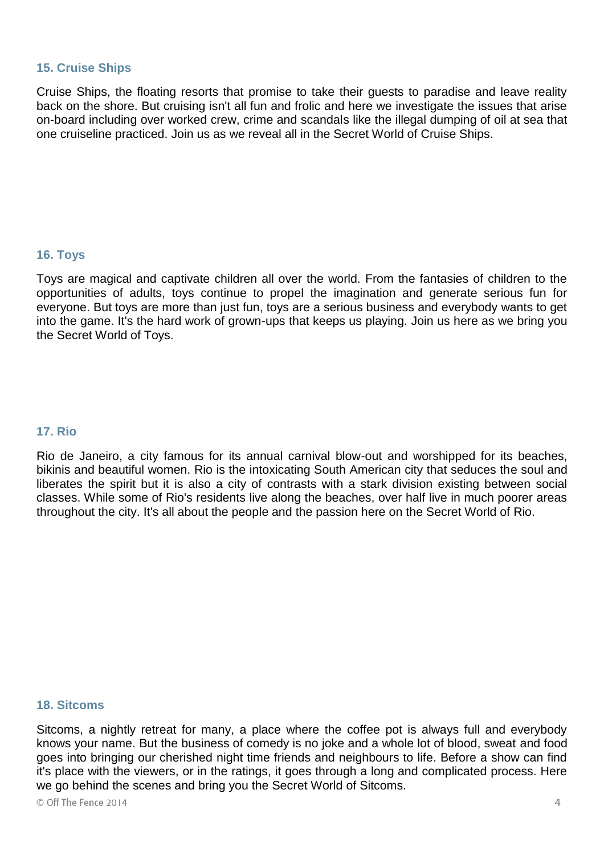## **15. Cruise Ships**

Cruise Ships, the floating resorts that promise to take their guests to paradise and leave reality back on the shore. But cruising isn't all fun and frolic and here we investigate the issues that arise on-board including over worked crew, crime and scandals like the illegal dumping of oil at sea that one cruiseline practiced. Join us as we reveal all in the Secret World of Cruise Ships.

## **16. Toys**

Toys are magical and captivate children all over the world. From the fantasies of children to the opportunities of adults, toys continue to propel the imagination and generate serious fun for everyone. But toys are more than just fun, toys are a serious business and everybody wants to get into the game. It's the hard work of grown-ups that keeps us playing. Join us here as we bring you the Secret World of Toys.

## **17. Rio**

Rio de Janeiro, a city famous for its annual carnival blow-out and worshipped for its beaches, bikinis and beautiful women. Rio is the intoxicating South American city that seduces the soul and liberates the spirit but it is also a city of contrasts with a stark division existing between social classes. While some of Rio's residents live along the beaches, over half live in much poorer areas throughout the city. It's all about the people and the passion here on the Secret World of Rio.

## **18. Sitcoms**

Sitcoms, a nightly retreat for many, a place where the coffee pot is always full and everybody knows your name. But the business of comedy is no joke and a whole lot of blood, sweat and food goes into bringing our cherished night time friends and neighbours to life. Before a show can find it's place with the viewers, or in the ratings, it goes through a long and complicated process. Here we go behind the scenes and bring you the Secret World of Sitcoms.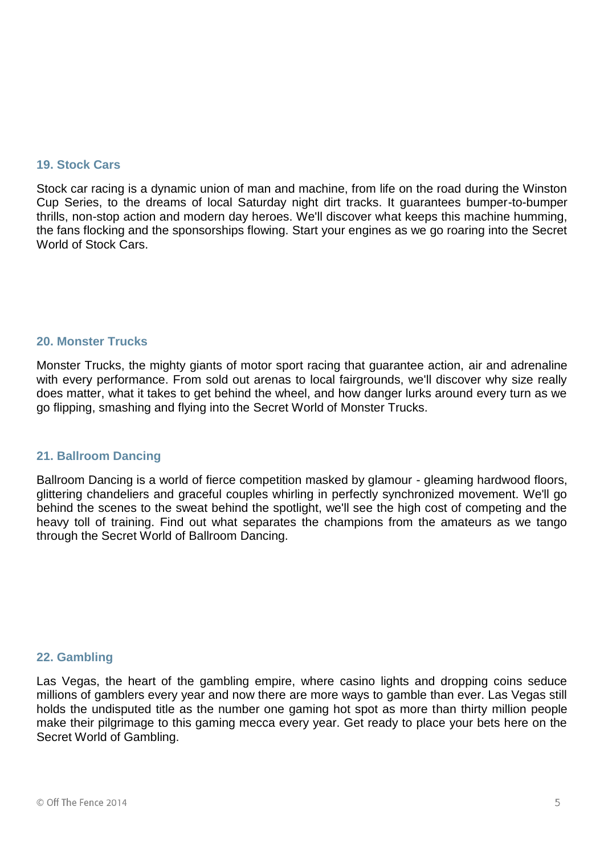## **19. Stock Cars**

Stock car racing is a dynamic union of man and machine, from life on the road during the Winston Cup Series, to the dreams of local Saturday night dirt tracks. It guarantees bumper-to-bumper thrills, non-stop action and modern day heroes. We'll discover what keeps this machine humming, the fans flocking and the sponsorships flowing. Start your engines as we go roaring into the Secret World of Stock Cars.

## **20. Monster Trucks**

Monster Trucks, the mighty giants of motor sport racing that guarantee action, air and adrenaline with every performance. From sold out arenas to local fairgrounds, we'll discover why size really does matter, what it takes to get behind the wheel, and how danger lurks around every turn as we go flipping, smashing and flying into the Secret World of Monster Trucks.

## **21. Ballroom Dancing**

Ballroom Dancing is a world of fierce competition masked by glamour - gleaming hardwood floors, glittering chandeliers and graceful couples whirling in perfectly synchronized movement. We'll go behind the scenes to the sweat behind the spotlight, we'll see the high cost of competing and the heavy toll of training. Find out what separates the champions from the amateurs as we tango through the Secret World of Ballroom Dancing.

## **22. Gambling**

Las Vegas, the heart of the gambling empire, where casino lights and dropping coins seduce millions of gamblers every year and now there are more ways to gamble than ever. Las Vegas still holds the undisputed title as the number one gaming hot spot as more than thirty million people make their pilgrimage to this gaming mecca every year. Get ready to place your bets here on the Secret World of Gambling.